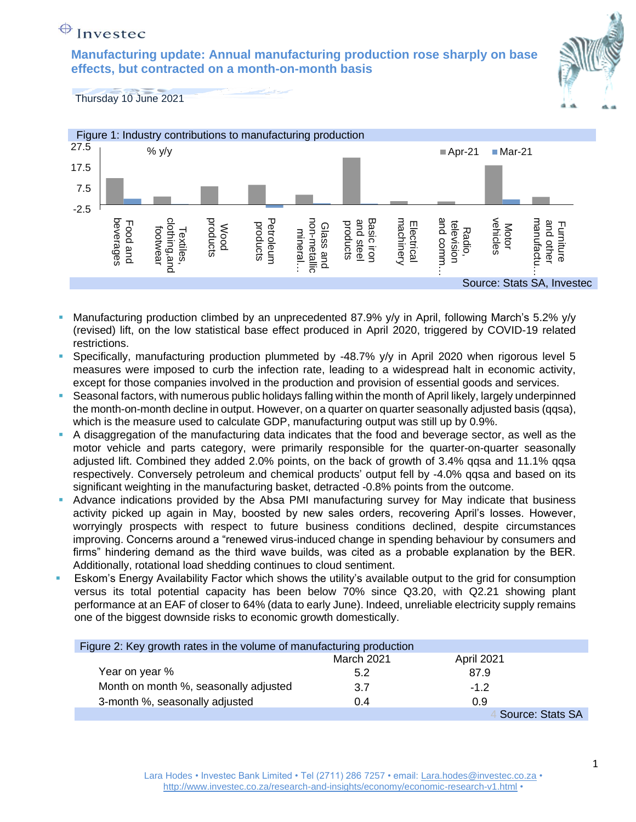# $\bigoplus$  Investec

**Manufacturing update: Annual manufacturing production rose sharply on base effects, but contracted on a month-on-month basis**



Thursday 10 June 2021



- Manufacturing production climbed by an unprecedented 87.9% y/y in April, following March's 5.2% y/y (revised) lift, on the low statistical base effect produced in April 2020, triggered by COVID-19 related restrictions.
- Specifically, manufacturing production plummeted by -48.7% y/y in April 2020 when rigorous level 5 measures were imposed to curb the infection rate, leading to a widespread halt in economic activity, except for those companies involved in the production and provision of essential goods and services.
- Seasonal factors, with numerous public holidays falling within the month of April likely, largely underpinned the month-on-month decline in output. However, on a quarter on quarter seasonally adjusted basis (qqsa), which is the measure used to calculate GDP, manufacturing output was still up by 0.9%.
- A disaggregation of the manufacturing data indicates that the food and beverage sector, as well as the motor vehicle and parts category, were primarily responsible for the quarter-on-quarter seasonally adjusted lift. Combined they added 2.0% points, on the back of growth of 3.4% qqsa and 11.1% qqsa respectively. Conversely petroleum and chemical products' output fell by -4.0% qqsa and based on its significant weighting in the manufacturing basket, detracted -0.8% points from the outcome.
- **•** Advance indications provided by the Absa PMI manufacturing survey for May indicate that business activity picked up again in May, boosted by new sales orders, recovering April's losses. However, worryingly prospects with respect to future business conditions declined, despite circumstances improving. Concerns around a "renewed virus-induced change in spending behaviour by consumers and firms" hindering demand as the third wave builds, was cited as a probable explanation by the BER. Additionally, rotational load shedding continues to cloud sentiment.
- Eskom's Energy Availability Factor which shows the utility's available output to the grid for consumption versus its total potential capacity has been below 70% since Q3.20, with Q2.21 showing plant performance at an EAF of closer to 64% (data to early June). Indeed, unreliable electricity supply remains one of the biggest downside risks to economic growth domestically.

| Figure 2: Key growth rates in the volume of manufacturing production |            |                   |  |
|----------------------------------------------------------------------|------------|-------------------|--|
|                                                                      | March 2021 | <b>April 2021</b> |  |
| Year on year %                                                       | 5.2        | 87.9              |  |
| Month on month %, seasonally adjusted                                | 3.7        | $-1.2$            |  |
| 3-month %, seasonally adjusted                                       | 0.4        | 0.9               |  |
|                                                                      |            | Source: Stats SA  |  |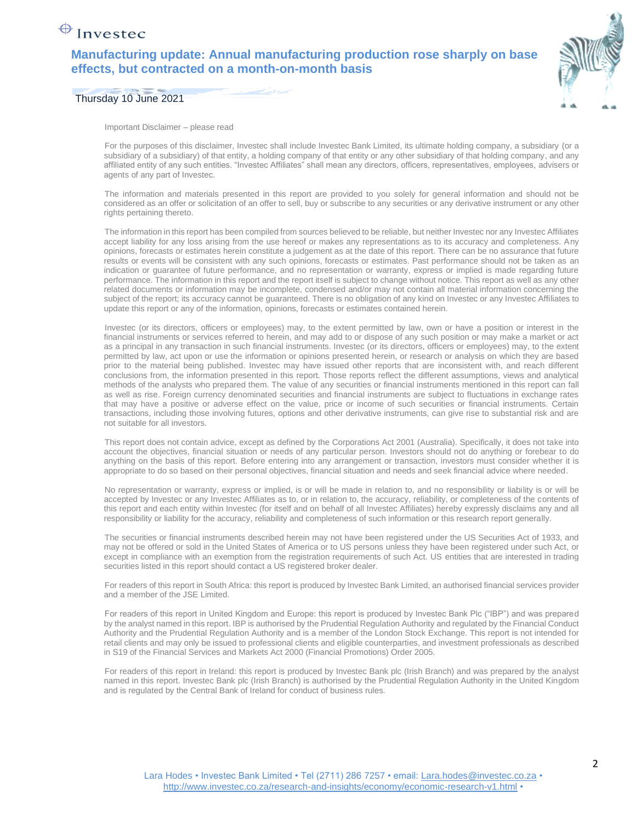## $\bigoplus$  Investec

#### **Manufacturing update: Annual manufacturing production rose sharply on base effects, but contracted on a month-on-month basis**



Thursday 10 June 2021

Important Disclaimer – please read

For the purposes of this disclaimer, Investec shall include Investec Bank Limited, its ultimate holding company, a subsidiary (or a subsidiary of a subsidiary) of that entity, a holding company of that entity or any other subsidiary of that holding company, and any affiliated entity of any such entities. "Investec Affiliates" shall mean any directors, officers, representatives, employees, advisers or agents of any part of Investec.

The information and materials presented in this report are provided to you solely for general information and should not be considered as an offer or solicitation of an offer to sell, buy or subscribe to any securities or any derivative instrument or any other rights pertaining thereto.

The information in this report has been compiled from sources believed to be reliable, but neither Investec nor any Investec Affiliates accept liability for any loss arising from the use hereof or makes any representations as to its accuracy and completeness. Any opinions, forecasts or estimates herein constitute a judgement as at the date of this report. There can be no assurance that future results or events will be consistent with any such opinions, forecasts or estimates. Past performance should not be taken as an indication or guarantee of future performance, and no representation or warranty, express or implied is made regarding future performance. The information in this report and the report itself is subject to change without notice. This report as well as any other related documents or information may be incomplete, condensed and/or may not contain all material information concerning the subject of the report; its accuracy cannot be quaranteed. There is no obligation of any kind on Investec or any Investec Affiliates to update this report or any of the information, opinions, forecasts or estimates contained herein.

Investec (or its directors, officers or employees) may, to the extent permitted by law, own or have a position or interest in the financial instruments or services referred to herein, and may add to or dispose of any such position or may make a market or act as a principal in any transaction in such financial instruments. Investec (or its directors, officers or employees) may, to the extent permitted by law, act upon or use the information or opinions presented herein, or research or analysis on which they are based prior to the material being published. Investec may have issued other reports that are inconsistent with, and reach different conclusions from, the information presented in this report. Those reports reflect the different assumptions, views and analytical methods of the analysts who prepared them. The value of any securities or financial instruments mentioned in this report can fall as well as rise. Foreign currency denominated securities and financial instruments are subject to fluctuations in exchange rates that may have a positive or adverse effect on the value, price or income of such securities or financial instruments. Certain transactions, including those involving futures, options and other derivative instruments, can give rise to substantial risk and are not suitable for all investors.

This report does not contain advice, except as defined by the Corporations Act 2001 (Australia). Specifically, it does not take into account the objectives, financial situation or needs of any particular person. Investors should not do anything or forebear to do anything on the basis of this report. Before entering into any arrangement or transaction, investors must consider whether it is appropriate to do so based on their personal objectives, financial situation and needs and seek financial advice where needed.

No representation or warranty, express or implied, is or will be made in relation to, and no responsibility or liability is or will be accepted by Investec or any Investec Affiliates as to, or in relation to, the accuracy, reliability, or completeness of the contents of this report and each entity within Investec (for itself and on behalf of all Investec Affiliates) hereby expressly disclaims any and all responsibility or liability for the accuracy, reliability and completeness of such information or this research report generally.

The securities or financial instruments described herein may not have been registered under the US Securities Act of 1933, and may not be offered or sold in the United States of America or to US persons unless they have been registered under such Act, or except in compliance with an exemption from the registration requirements of such Act. US entities that are interested in trading securities listed in this report should contact a US registered broker dealer.

For readers of this report in South Africa: this report is produced by Investec Bank Limited, an authorised financial services provider and a member of the JSE Limited.

For readers of this report in United Kingdom and Europe: this report is produced by Investec Bank Plc ("IBP") and was prepared by the analyst named in this report. IBP is authorised by the Prudential Regulation Authority and regulated by the Financial Conduct Authority and the Prudential Regulation Authority and is a member of the London Stock Exchange. This report is not intended for retail clients and may only be issued to professional clients and eligible counterparties, and investment professionals as described in S19 of the Financial Services and Markets Act 2000 (Financial Promotions) Order 2005.

For readers of this report in Ireland: this report is produced by Investec Bank plc (Irish Branch) and was prepared by the analyst named in this report. Investec Bank plc (Irish Branch) is authorised by the Prudential Regulation Authority in the United Kingdom and is regulated by the Central Bank of Ireland for conduct of business rules.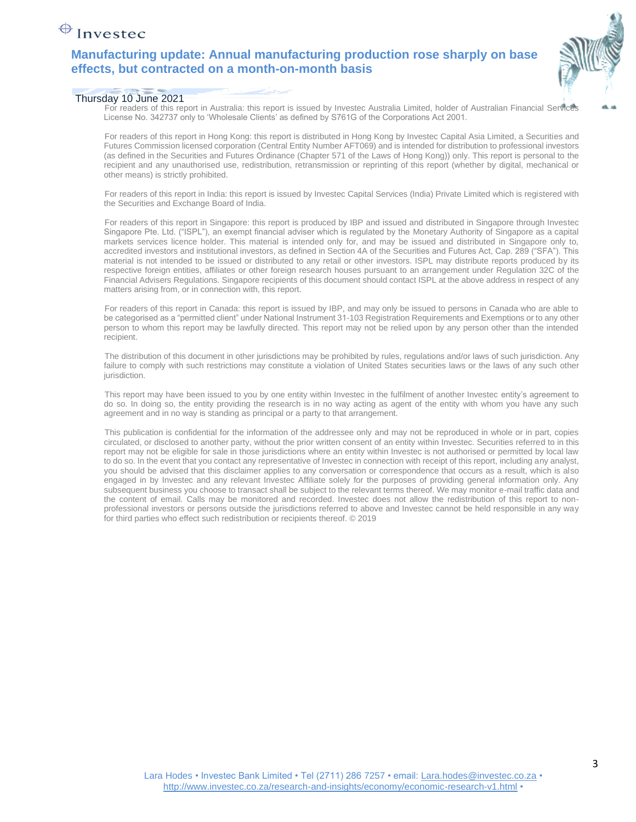## $\bigoplus$  Investec

### **Manufacturing update: Annual manufacturing production rose sharply on base effects, but contracted on a month-on-month basis**



#### Thursday 10 June 2021

For readers of this report in Australia: this report is issued by Investec Australia Limited, holder of Australian Financial Services License No. 342737 only to 'Wholesale Clients' as defined by S761G of the Corporations Act 2001.

For readers of this report in Hong Kong: this report is distributed in Hong Kong by Investec Capital Asia Limited, a Securities and Futures Commission licensed corporation (Central Entity Number AFT069) and is intended for distribution to professional investors (as defined in the Securities and Futures Ordinance (Chapter 571 of the Laws of Hong Kong)) only. This report is personal to the recipient and any unauthorised use, redistribution, retransmission or reprinting of this report (whether by digital, mechanical or other means) is strictly prohibited.

For readers of this report in India: this report is issued by Investec Capital Services (India) Private Limited which is registered with the Securities and Exchange Board of India.

For readers of this report in Singapore: this report is produced by IBP and issued and distributed in Singapore through Investec Singapore Pte. Ltd. ("ISPL"), an exempt financial adviser which is regulated by the Monetary Authority of Singapore as a capital markets services licence holder. This material is intended only for, and may be issued and distributed in Singapore only to, accredited investors and institutional investors, as defined in Section 4A of the Securities and Futures Act, Cap. 289 ("SFA"). This material is not intended to be issued or distributed to any retail or other investors. ISPL may distribute reports produced by its respective foreign entities, affiliates or other foreign research houses pursuant to an arrangement under Regulation 32C of the Financial Advisers Regulations. Singapore recipients of this document should contact ISPL at the above address in respect of any matters arising from, or in connection with, this report.

For readers of this report in Canada: this report is issued by IBP, and may only be issued to persons in Canada who are able to be categorised as a "permitted client" under National Instrument 31-103 Registration Requirements and Exemptions or to any other person to whom this report may be lawfully directed. This report may not be relied upon by any person other than the intended recipient.

The distribution of this document in other jurisdictions may be prohibited by rules, regulations and/or laws of such jurisdiction. Any failure to comply with such restrictions may constitute a violation of United States securities laws or the laws of any such other jurisdiction.

This report may have been issued to you by one entity within Investec in the fulfilment of another Investec entity's agreement to do so. In doing so, the entity providing the research is in no way acting as agent of the entity with whom you have any such agreement and in no way is standing as principal or a party to that arrangement.

This publication is confidential for the information of the addressee only and may not be reproduced in whole or in part, copies circulated, or disclosed to another party, without the prior written consent of an entity within Investec. Securities referred to in this report may not be eligible for sale in those jurisdictions where an entity within Investec is not authorised or permitted by local law to do so. In the event that you contact any representative of Investec in connection with receipt of this report, including any analyst, you should be advised that this disclaimer applies to any conversation or correspondence that occurs as a result, which is also engaged in by Investec and any relevant Investec Affiliate solely for the purposes of providing general information only. Any subsequent business you choose to transact shall be subject to the relevant terms thereof. We may monitor e-mail traffic data and the content of email. Calls may be monitored and recorded. Investec does not allow the redistribution of this report to nonprofessional investors or persons outside the jurisdictions referred to above and Investec cannot be held responsible in any way for third parties who effect such redistribution or recipients thereof. © 2019